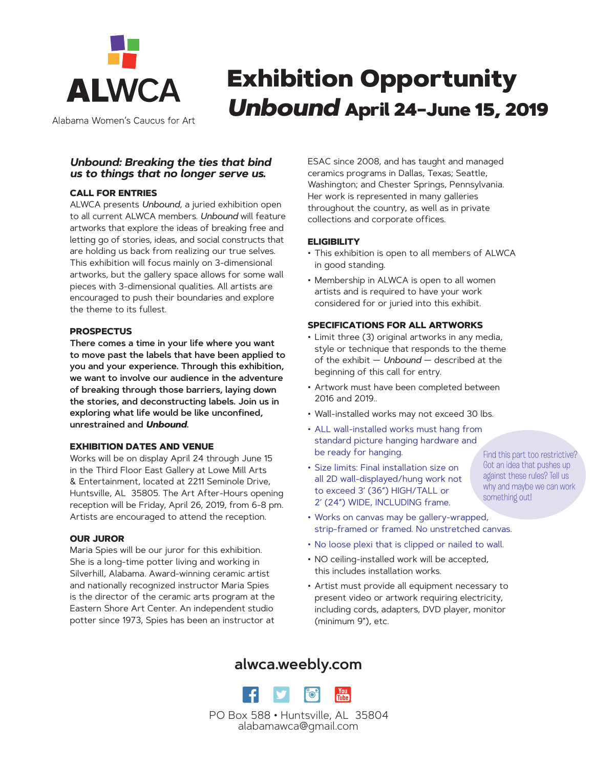

Alabama Women's Caucus for Art

# Exhibition Opportunity *Unbound* April 24–June 15, 2019

#### *Unbound: Breaking the ties that bind us to things that no longer serve us.*

#### **CALL FOR ENTRIES**

ALWCA presents *Unbound*, a juried exhibition open to all current ALWCA members. *Unbound* will feature artworks that explore the ideas of breaking free and letting go of stories, ideas, and social constructs that are holding us back from realizing our true selves. This exhibition will focus mainly on 3-dimensional artworks, but the gallery space allows for some wall pieces with 3-dimensional qualities. All artists are encouraged to push their boundaries and explore the theme to its fullest.

#### **PROSPECTUS**

**There comes a time in your life where you want to move past the labels that have been applied to you and your experience. Through this exhibition, we want to involve our audience in the adventure of breaking through those barriers, laying down the stories, and deconstructing labels. Join us in exploring what life would be like unconfined, unrestrained and** *Unbound***.**

#### **EXHIBITION DATES AND VENUE**

Works will be on display April 24 through June 15 in the Third Floor East Gallery at Lowe Mill Arts & Entertainment, located at 2211 Seminole Drive, Huntsville, AL 35805. The Art After-Hours opening reception will be Friday, April 26, 2019, from 6-8 pm. Artists are encouraged to attend the reception.

#### **OUR JUROR**

Maria Spies will be our juror for this exhibition. She is a long-time potter living and working in Silverhill, Alabama. Award-winning ceramic artist and nationally recognized instructor Maria Spies is the director of the ceramic arts program at the Eastern Shore Art Center. An independent studio potter since 1973, Spies has been an instructor at

ESAC since 2008, and has taught and managed ceramics programs in Dallas, Texas; Seattle, Washington; and Chester Springs, Pennsylvania. Her work is represented in many galleries throughout the country, as well as in private collections and corporate offices.

#### **ELIGIBILITY**

- This exhibition is open to all members of ALWCA in good standing.
- Membership in ALWCA is open to all women artists and is required to have your work considered for or juried into this exhibit.

#### **SPECIFICATIONS FOR ALL ARTWORKS**

- Limit three (3) original artworks in any media, style or technique that responds to the theme of the exhibit — *Unbound* — described at the beginning of this call for entry.
- Artwork must have been completed between 2016 and 2019..
- Wall-installed works may not exceed 30 lbs.
- ALL wall-installed works must hang from standard picture hanging hardware and be ready for hanging.
- Size limits: Final installation size on all 2D wall-displayed/hung work not to exceed 3' (36") HIGH/TALL or 2' (24") WIDE, INCLUDING frame.

Find this part too restrictive? Got an idea that pushes up against these rules? Tell us why and maybe we can work something out!

- Works on canvas may be gallery-wrapped, strip-framed or framed. No unstretched canvas.
- No loose plexi that is clipped or nailed to wall.
- NO ceiling-installed work will be accepted, this includes installation works.
- Artist must provide all equipment necessary to present video or artwork requiring electricity, including cords, adapters, DVD player, monitor (minimum 9"), etc.

### **alwca.weebly.com**

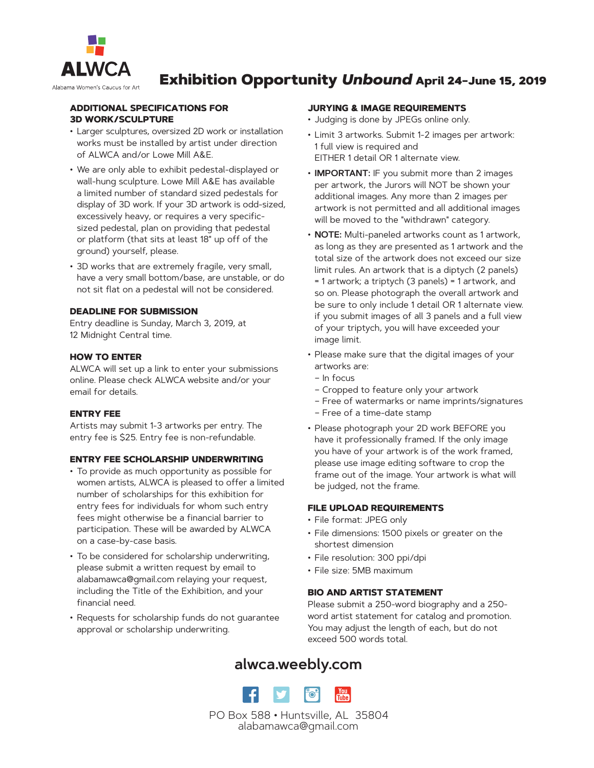

### Exhibition Opportunity *Unbound* April 24–June 15, 2019

#### **ADDITIONAL SPECIFICATIONS FOR 3D WORK/SCULPTURE**

- Larger sculptures, oversized 2D work or installation works must be installed by artist under direction of ALWCA and/or Lowe Mill A&E.
- We are only able to exhibit pedestal-displayed or wall-hung sculpture. Lowe Mill A&E has available a limited number of standard sized pedestals for display of 3D work. If your 3D artwork is odd-sized, excessively heavy, or requires a very specificsized pedestal, plan on providing that pedestal or platform (that sits at least 18" up off of the ground) yourself, please.
- 3D works that are extremely fragile, very small, have a very small bottom/base, are unstable, or do not sit flat on a pedestal will not be considered.

#### **DEADLINE FOR SUBMISSION**

Entry deadline is Sunday, March 3, 2019, at 12 Midnight Central time.

#### **HOW TO ENTER**

ALWCA will set up a link to enter your submissions online. Please check ALWCA website and/or your email for details.

#### **ENTRY FEE**

Artists may submit 1-3 artworks per entry. The entry fee is \$25. Entry fee is non-refundable.

#### **ENTRY FEE SCHOLARSHIP UNDERWRITING**

- To provide as much opportunity as possible for women artists, ALWCA is pleased to offer a limited number of scholarships for this exhibition for entry fees for individuals for whom such entry fees might otherwise be a financial barrier to participation. These will be awarded by ALWCA on a case-by-case basis.
- To be considered for scholarship underwriting, please submit a written request by email to alabamawca@gmail.com relaying your request, including the Title of the Exhibition, and your financial need.
- Requests for scholarship funds do not guarantee approval or scholarship underwriting.

#### **JURYING & IMAGE REQUIREMENTS**

- Judging is done by JPEGs online only.
- Limit 3 artworks. Submit 1-2 images per artwork: 1 full view is required and EITHER 1 detail OR 1 alternate view.
- **IMPORTANT:** IF you submit more than 2 images per artwork, the Jurors will NOT be shown your additional images. Any more than 2 images per artwork is not permitted and all additional images will be moved to the "withdrawn" category.
- **NOTE:** Multi-paneled artworks count as 1 artwork, as long as they are presented as 1 artwork and the total size of the artwork does not exceed our size limit rules. An artwork that is a diptych (2 panels) = 1 artwork; a triptych (3 panels) = 1 artwork, and so on. Please photograph the overall artwork and be sure to only include 1 detail OR 1 alternate view. if you submit images of all 3 panels and a full view of your triptych, you will have exceeded your image limit.
- Please make sure that the digital images of your artworks are:
	- In focus
	- Cropped to feature only your artwork
	- Free of watermarks or name imprints/signatures
	- Free of a time-date stamp
- Please photograph your 2D work BEFORE you have it professionally framed. If the only image you have of your artwork is of the work framed, please use image editing software to crop the frame out of the image. Your artwork is what will be judged, not the frame.

#### **FILE UPLOAD REQUIREMENTS**

- File format: JPEG only
- File dimensions: 1500 pixels or greater on the shortest dimension
- File resolution: 300 ppi/dpi
- File size: 5MB maximum

#### **BIO AND ARTIST STATEMENT**

Please submit a 250-word biography and a 250 word artist statement for catalog and promotion. You may adjust the length of each, but do not exceed 500 words total.

### **alwca.weebly.com**

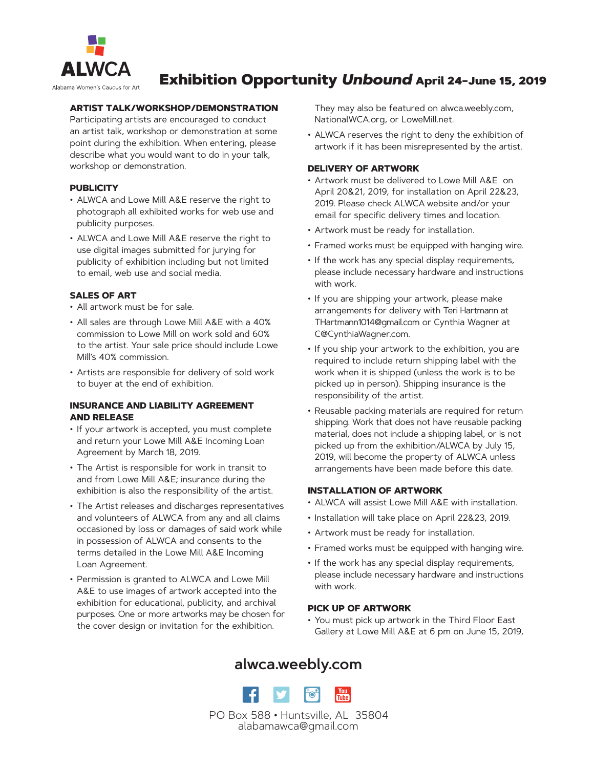

## Exhibition Opportunity *Unbound* April 24–June 15, 2019

#### **ARTIST TALK/WORKSHOP/DEMONSTRATION**

Participating artists are encouraged to conduct an artist talk, workshop or demonstration at some point during the exhibition. When entering, please describe what you would want to do in your talk, workshop or demonstration.

#### **PUBLICITY**

- ALWCA and Lowe Mill A&E reserve the right to photograph all exhibited works for web use and publicity purposes.
- ALWCA and Lowe Mill A&E reserve the right to use digital images submitted for jurying for publicity of exhibition including but not limited to email, web use and social media.

#### **SALES OF ART**

- All artwork must be for sale.
- All sales are through Lowe Mill A&E with a 40% commission to Lowe Mill on work sold and 60% to the artist. Your sale price should include Lowe Mill's 40% commission.
- Artists are responsible for delivery of sold work to buyer at the end of exhibition.

#### **INSURANCE AND LIABILITY AGREEMENT AND RELEASE**

- If your artwork is accepted, you must complete and return your Lowe Mill A&E Incoming Loan Agreement by March 18, 2019.
- The Artist is responsible for work in transit to and from Lowe Mill A&E; insurance during the exhibition is also the responsibility of the artist.
- The Artist releases and discharges representatives and volunteers of ALWCA from any and all claims occasioned by loss or damages of said work while in possession of ALWCA and consents to the terms detailed in the Lowe Mill A&E Incoming Loan Agreement.
- Permission is granted to ALWCA and Lowe Mill A&E to use images of artwork accepted into the exhibition for educational, publicity, and archival purposes. One or more artworks may be chosen for the cover design or invitation for the exhibition.

They may also be featured on alwca.weebly.com, NationalWCA.org, or LoweMill.net.

• ALWCA reserves the right to deny the exhibition of artwork if it has been misrepresented by the artist.

#### **DELIVERY OF ARTWORK**

- Artwork must be delivered to Lowe Mill A&E on April 20&21, 2019, for installation on April 22&23, 2019. Please check ALWCA website and/or your email for specific delivery times and location.
- Artwork must be ready for installation.
- Framed works must be equipped with hanging wire.
- If the work has any special display requirements, please include necessary hardware and instructions with work.
- If you are shipping your artwork, please make arrangements for delivery with Teri Hartmann at THartmann1014@gmail.com or Cynthia Wagner at C@CynthiaWagner.com.
- If you ship your artwork to the exhibition, you are required to include return shipping label with the work when it is shipped (unless the work is to be picked up in person). Shipping insurance is the responsibility of the artist.
- Reusable packing materials are required for return shipping. Work that does not have reusable packing material, does not include a shipping label, or is not picked up from the exhibition/ALWCA by July 15, 2019, will become the property of ALWCA unless arrangements have been made before this date.

#### **INSTALLATION OF ARTWORK**

- ALWCA will assist Lowe Mill A&E with installation.
- Installation will take place on April 22&23, 2019.
- Artwork must be ready for installation.
- Framed works must be equipped with hanging wire.
- If the work has any special display requirements, please include necessary hardware and instructions with work.

#### **PICK UP OF ARTWORK**

• You must pick up artwork in the Third Floor East Gallery at Lowe Mill A&E at 6 pm on June 15, 2019,

### **alwca.weebly.com**